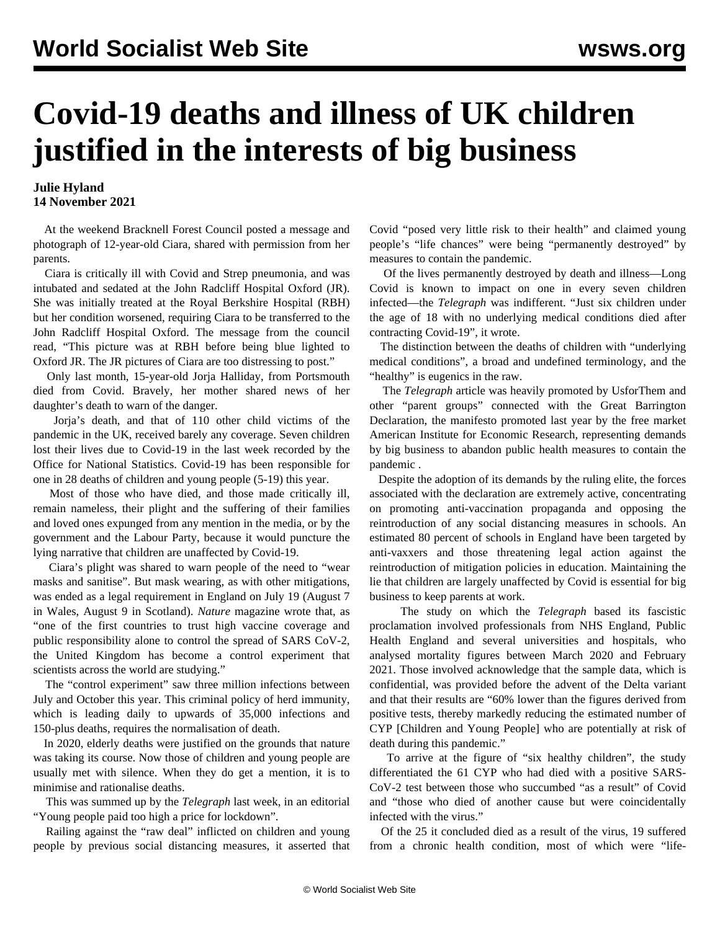## **Covid-19 deaths and illness of UK children justified in the interests of big business**

## **Julie Hyland 14 November 2021**

 At the weekend Bracknell Forest Council posted a message and photograph of 12-year-old Ciara, shared with permission from her parents.

 Ciara is critically ill with Covid and Strep pneumonia, and was intubated and sedated at the John Radcliff Hospital Oxford (JR). She was initially treated at the Royal Berkshire Hospital (RBH) but her condition worsened, requiring Ciara to be transferred to the John Radcliff Hospital Oxford. The message from the council read, "This picture was at RBH before being blue lighted to Oxford JR. The JR pictures of Ciara are too distressing to post."

 Only last month, 15-year-old Jorja Halliday, from Portsmouth died from Covid. Bravely, her mother shared news of her daughter's death to warn of the danger.

 Jorja's death, and that of 110 other child victims of the pandemic in the UK, received barely any coverage. Seven children lost their lives due to Covid-19 in the last week recorded by the Office for National Statistics. Covid-19 has been responsible for one in 28 deaths of children and young people (5-19) this year.

 Most of those who have died, and those made critically ill, remain nameless, their plight and the suffering of their families and loved ones expunged from any mention in the media, or by the government and the Labour Party, because it would puncture the lying narrative that children are unaffected by Covid-19.

 Ciara's plight was shared to warn people of the need to "wear masks and sanitise". But mask wearing, as with other mitigations, was ended as a legal requirement in England on July 19 (August 7 in Wales, August 9 in Scotland). *Nature* magazine wrote that, as "one of the first countries to trust high vaccine coverage and public responsibility alone to control the spread of SARS CoV-2, the United Kingdom has become a control experiment that scientists across the world are studying."

 The "control experiment" saw three million infections between July and October this year. This criminal policy of herd immunity, which is leading daily to upwards of 35,000 infections and 150-plus deaths, requires the normalisation of death.

 In 2020, elderly deaths were justified on the grounds that nature was taking its course. Now those of children and young people are usually met with silence. When they do get a mention, it is to minimise and rationalise deaths.

 This was summed up by the *Telegraph* last week, in an editorial "Young people paid too high a price for lockdown".

 Railing against the "raw deal" inflicted on children and young people by previous social distancing measures, it asserted that Covid "posed very little risk to their health" and claimed young people's "life chances" were being "permanently destroyed" by measures to contain the pandemic.

 Of the lives permanently destroyed by death and illness—Long Covid is known to impact on one in every seven children infected—the *Telegraph* was indifferent. "Just six children under the age of 18 with no underlying medical conditions died after contracting Covid-19", it wrote.

 The distinction between the deaths of children with "underlying medical conditions", a broad and undefined terminology, and the "healthy" is eugenics in the raw.

 The *Telegraph* article was heavily promoted by UsforThem and other "parent groups" connected with the Great Barrington Declaration, the manifesto promoted last year by the free market American Institute for Economic Research, representing demands by big business to [abandon public health measures to contain the](/en/articles/2020/10/16/pers-o16.html) [pandemic](/en/articles/2020/10/16/pers-o16.html) .

 Despite the adoption of its demands by the ruling elite, the forces associated with the declaration are extremely active, concentrating on promoting anti-vaccination propaganda and opposing the reintroduction of any social distancing measures in schools. An estimated 80 percent of schools in England have been targeted by anti-vaxxers and those threatening legal action against the reintroduction of mitigation policies in education. Maintaining the lie that children are largely unaffected by Covid is essential for big business to keep parents at work.

 The study on which the *Telegraph* based its fascistic proclamation involved professionals from NHS England, Public Health England and several universities and hospitals, who analysed mortality figures between March 2020 and February 2021. Those involved acknowledge that the sample data, which is confidential, was provided before the advent of the Delta variant and that their results are "60% lower than the figures derived from positive tests, thereby markedly reducing the estimated number of CYP [Children and Young People] who are potentially at risk of death during this pandemic."

 To arrive at the figure of "six healthy children", the study differentiated the 61 CYP who had died with a positive SARS-CoV-2 test between those who succumbed "as a result" of Covid and "those who died of another cause but were coincidentally infected with the virus."

 Of the 25 it concluded died as a result of the virus, 19 suffered from a chronic health condition, most of which were "life